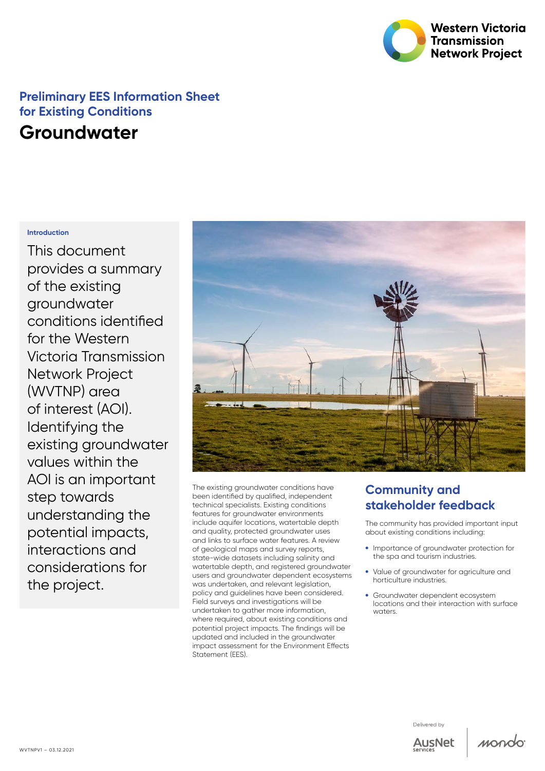

### **Preliminary EES Information Sheet for Existing Conditions**

# **Groundwater**

#### **Introduction**

This document provides a summary of the existing groundwater conditions identified for the Western Victoria Transmission Network Project (WVTNP) area of interest (AOI). Identifying the existing groundwater values within the AOI is an important step towards understanding the potential impacts, interactions and considerations for the project.



The existing groundwater conditions have been identified by qualified, independent technical specialists. Existing conditions features for groundwater environments include aquifer locations, watertable depth and quality, protected groundwater uses and links to surface water features. A review of geological maps and survey reports, state-wide datasets including salinity and watertable depth, and registered groundwater users and groundwater dependent ecosystems was undertaken, and relevant legislation, policy and guidelines have been considered. Field surveys and investigations will be undertaken to gather more information, where required, about existing conditions and potential project impacts. The findings will be updated and included in the groundwater impact assessment for the Environment Effects Statement (EES).

### **Community and stakeholder feedback**

The community has provided important input about existing conditions including:

- Importance of groundwater protection for the spa and tourism industries.
- Value of groundwater for agriculture and horticulture industries.
- Groundwater dependent ecosystem locations and their interaction with surface waters.

Delivered by



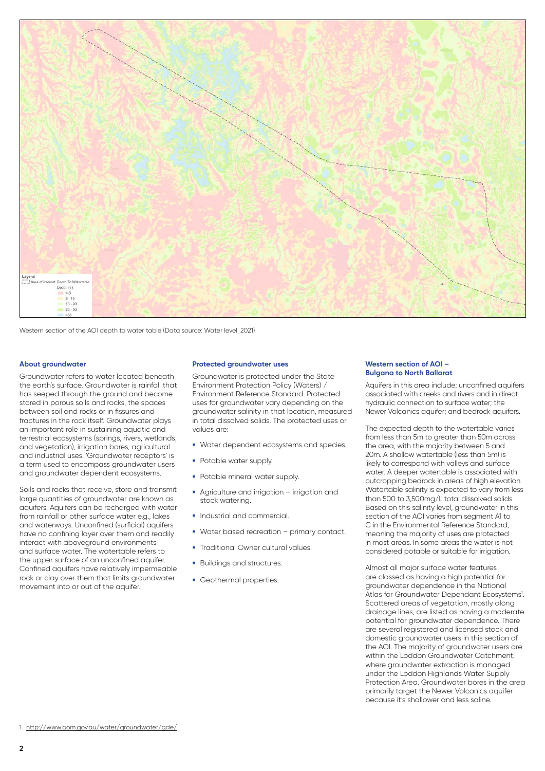

Western section of the AOI depth to water table (Data source: Water level, 2021)

#### **About groundwater**

Groundwater refers to water located beneath the earth's surface. Groundwater is rainfall that has seeped through the ground and become stored in porous soils and rocks, the spaces between soil and rocks or in fissures and fractures in the rock itself. Groundwater plays an important role in sustaining aquatic and terrestrial ecosystems (springs, rivers, wetlands, and vegetation), irrigation bores, agricultural and industrial uses. 'Groundwater receptors' is a term used to encompass groundwater users and groundwater dependent ecosystems.

Soils and rocks that receive, store and transmit large quantities of groundwater are known as aquifers. Aquifers can be recharged with water from rainfall or other surface water e.g., lakes and waterways. Unconfined (surficial) aquifers have no confining layer over them and readily interact with aboveground environments and surface water. The watertable refers to the upper surface of an unconfined aquifer. Confined aquifers have relatively impermeable rock or clay over them that limits groundwater movement into or out of the aquifer.

#### **Protected groundwater uses**

Groundwater is protected under the State Environment Protection Policy (Waters) / Environment Reference Standard. Protected uses for groundwater vary depending on the groundwater salinity in that location, measured in total dissolved solids. The protected uses or values are:

- Water dependent ecosystems and species.
- Potable water supply.
- Potable mineral water supply.
- Agriculture and irrigation irrigation and stock watering.
- Industrial and commercial.
- Water based recreation primary contact.
- Traditional Owner cultural values.
- Buildings and structures.
- Geothermal properties.

#### **Western section of AOI – Bulgana to North Ballarat**

Aquifers in this area include: unconfined aquifers associated with creeks and rivers and in direct hydraulic connection to surface water; the Newer Volcanics aquifer; and bedrock aquifers.

The expected depth to the watertable varies from less than 5m to greater than 50m across the area, with the majority between 5 and 20m. A shallow watertable (less than 5m) is likely to correspond with valleys and surface water. A deeper watertable is associated with outcropping bedrock in areas of high elevation. Watertable salinity is expected to vary from less than 500 to 3,500mg/L total dissolved solids. Based on this salinity level, groundwater in this section of the AOI varies from segment A1 to C in the Environmental Reference Standard, meaning the majority of uses are protected in most areas. In some areas the water is not considered potable or suitable for irrigation.

Almost all major surface water features are classed as having a high potential for groundwater dependence in the National Atlas for Groundwater Dependant Ecosystems<sup>1</sup>. Scattered areas of vegetation, mostly along drainage lines, are listed as having a moderate potential for groundwater dependence. There are several registered and licensed stock and domestic groundwater users in this section of the AOI. The majority of groundwater users are within the Loddon Groundwater Catchment, where groundwater extraction is managed under the Loddon Highlands Water Supply Protection Area. Groundwater bores in the area primarily target the Newer Volcanics aquifer because it's shallower and less saline.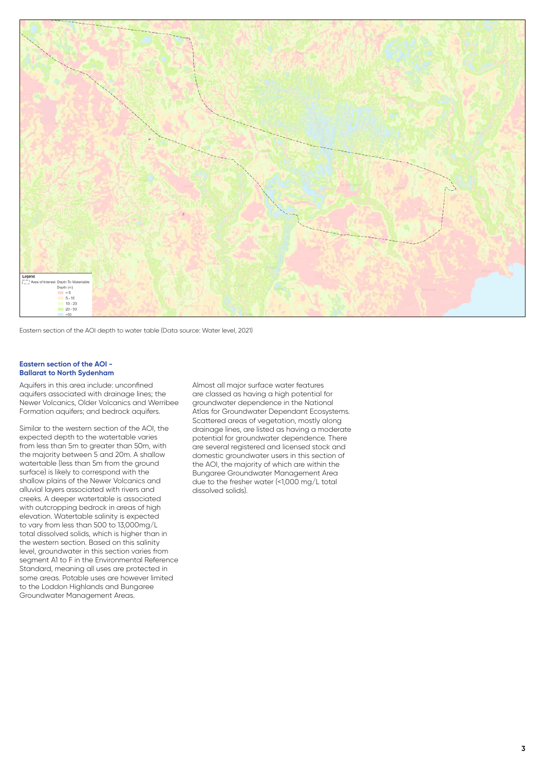

Eastern section of the AOI depth to water table (Data source: Water level, 2021)

#### **Eastern section of the AOI - Ballarat to North Sydenham**

Aquifers in this area include: unconfined aquifers associated with drainage lines; the Newer Volcanics, Older Volcanics and Werribee Formation aquifers; and bedrock aquifers.

Similar to the western section of the AOI, the expected depth to the watertable varies from less than 5m to greater than 50m, with the majority between 5 and 20m. A shallow watertable (less than 5m from the ground surface) is likely to correspond with the shallow plains of the Newer Volcanics and alluvial layers associated with rivers and creeks. A deeper watertable is associated with outcropping bedrock in areas of high elevation. Watertable salinity is expected to vary from less than 500 to 13,000mg/L total dissolved solids, which is higher than in the western section. Based on this salinity level, groundwater in this section varies from segment A1 to F in the Environmental Reference Standard, meaning all uses are protected in some areas. Potable uses are however limited to the Loddon Highlands and Bungaree Groundwater Management Areas.

Almost all major surface water features are classed as having a high potential for groundwater dependence in the National Atlas for Groundwater Dependant Ecosystems. Scattered areas of vegetation, mostly along drainage lines, are listed as having a moderate potential for groundwater dependence. There are several registered and licensed stock and domestic groundwater users in this section of the AOI, the majority of which are within the Bungaree Groundwater Management Area due to the fresher water (<1,000 mg/L total dissolved solids).